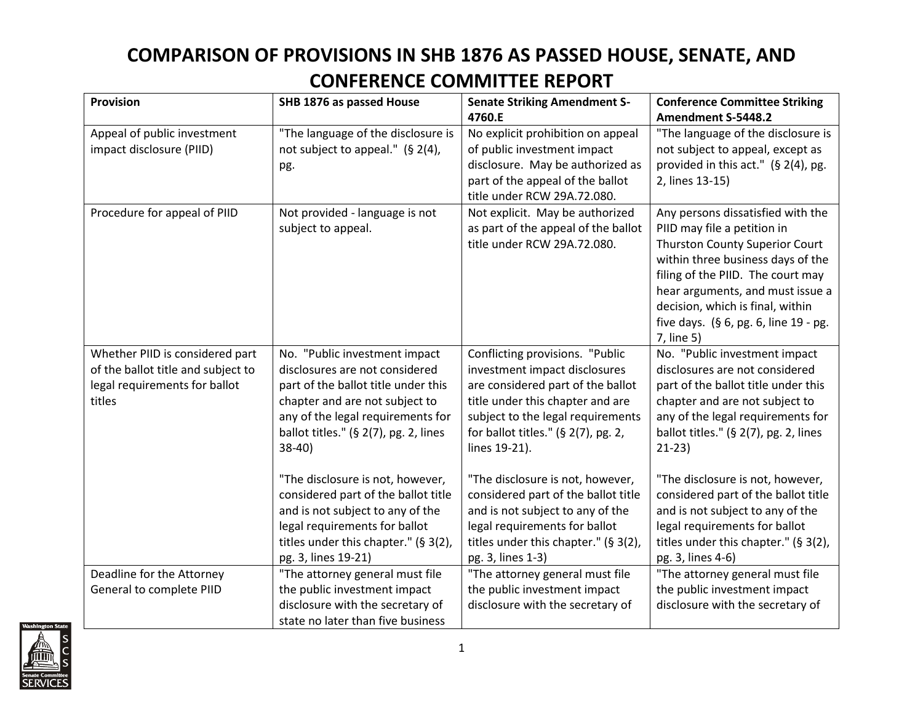## **COMPARISON OF PROVISIONS IN SHB 1876 AS PASSED HOUSE, SENATE, AND CONFERENCE COMMITTEE REPORT**

| <b>Provision</b>                   | SHB 1876 as passed House                 | <b>Senate Striking Amendment S-</b>    | <b>Conference Committee Striking</b>     |
|------------------------------------|------------------------------------------|----------------------------------------|------------------------------------------|
|                                    |                                          | 4760.E                                 | Amendment S-5448.2                       |
| Appeal of public investment        | "The language of the disclosure is       | No explicit prohibition on appeal      | "The language of the disclosure is       |
| impact disclosure (PIID)           | not subject to appeal." (§ 2(4),         | of public investment impact            | not subject to appeal, except as         |
|                                    | pg.                                      | disclosure. May be authorized as       | provided in this act." (§ 2(4), pg.      |
|                                    |                                          | part of the appeal of the ballot       | 2, lines 13-15)                          |
|                                    |                                          | title under RCW 29A.72.080.            |                                          |
| Procedure for appeal of PIID       | Not provided - language is not           | Not explicit. May be authorized        | Any persons dissatisfied with the        |
|                                    | subject to appeal.                       | as part of the appeal of the ballot    | PIID may file a petition in              |
|                                    |                                          | title under RCW 29A.72.080.            | <b>Thurston County Superior Court</b>    |
|                                    |                                          |                                        | within three business days of the        |
|                                    |                                          |                                        | filing of the PIID. The court may        |
|                                    |                                          |                                        | hear arguments, and must issue a         |
|                                    |                                          |                                        | decision, which is final, within         |
|                                    |                                          |                                        | five days. $(§ 6, pg. 6, line 19 - pg.$  |
|                                    |                                          |                                        | 7, line 5)                               |
| Whether PIID is considered part    | No. "Public investment impact            | Conflicting provisions. "Public        | No. "Public investment impact            |
| of the ballot title and subject to | disclosures are not considered           | investment impact disclosures          | disclosures are not considered           |
| legal requirements for ballot      | part of the ballot title under this      | are considered part of the ballot      | part of the ballot title under this      |
| titles                             | chapter and are not subject to           | title under this chapter and are       | chapter and are not subject to           |
|                                    | any of the legal requirements for        | subject to the legal requirements      | any of the legal requirements for        |
|                                    | ballot titles." (§ $2(7)$ , pg. 2, lines | for ballot titles." (§ $2(7)$ , pg. 2, | ballot titles." (§ $2(7)$ , pg. 2, lines |
|                                    | $38-40$                                  | lines 19-21).                          | $21-23$                                  |
|                                    | "The disclosure is not, however,         | "The disclosure is not, however,       | "The disclosure is not, however,         |
|                                    | considered part of the ballot title      | considered part of the ballot title    | considered part of the ballot title      |
|                                    | and is not subject to any of the         | and is not subject to any of the       | and is not subject to any of the         |
|                                    | legal requirements for ballot            | legal requirements for ballot          | legal requirements for ballot            |
|                                    | titles under this chapter." (§ 3(2),     | titles under this chapter." (§ 3(2),   | titles under this chapter." (§ 3(2),     |
|                                    | pg. 3, lines 19-21)                      | pg. 3, lines 1-3)                      | pg. 3, lines 4-6)                        |
| Deadline for the Attorney          | "The attorney general must file          | "The attorney general must file        | "The attorney general must file          |
| General to complete PIID           | the public investment impact             | the public investment impact           | the public investment impact             |
|                                    | disclosure with the secretary of         | disclosure with the secretary of       | disclosure with the secretary of         |
|                                    | state no later than five business        |                                        |                                          |